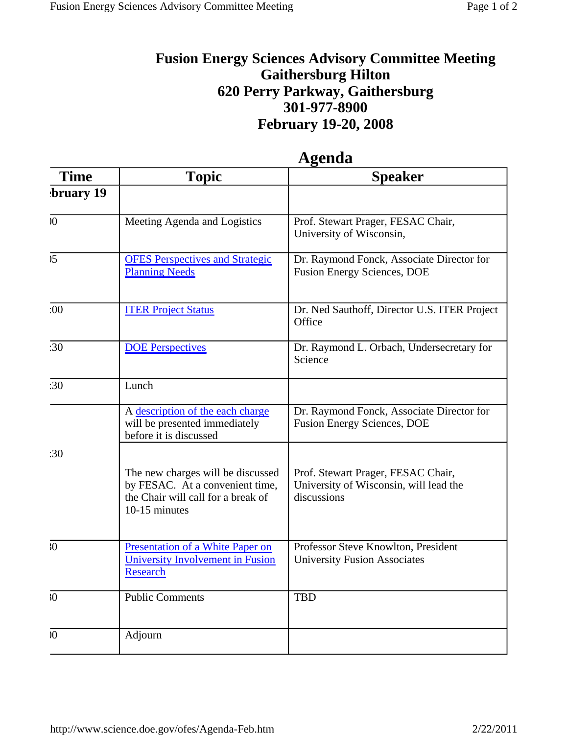## **Fusion Energy Sciences Advisory Committee Meeting Gaithersburg Hilton 620 Perry Parkway, Gaithersburg 301-977-8900 February 19-20, 2008**

| <b>Time</b>                | <b>Topic</b>                                                                                                                | <b>Speaker</b>                                                                              |
|----------------------------|-----------------------------------------------------------------------------------------------------------------------------|---------------------------------------------------------------------------------------------|
| bruary 19                  |                                                                                                                             |                                                                                             |
| $\boldsymbol{\mathcal{N}}$ | Meeting Agenda and Logistics                                                                                                | Prof. Stewart Prager, FESAC Chair,<br>University of Wisconsin,                              |
| 5 <sup>5</sup>             | <b>OFES Perspectives and Strategic</b><br><b>Planning Needs</b>                                                             | Dr. Raymond Fonck, Associate Director for<br><b>Fusion Energy Sciences, DOE</b>             |
| :00                        | <b>ITER Project Status</b>                                                                                                  | Dr. Ned Sauthoff, Director U.S. ITER Project<br>Office                                      |
| :30                        | <b>DOE</b> Perspectives                                                                                                     | Dr. Raymond L. Orbach, Undersecretary for<br>Science                                        |
| :30                        | Lunch                                                                                                                       |                                                                                             |
|                            | A description of the each charge<br>will be presented immediately<br>before it is discussed                                 | Dr. Raymond Fonck, Associate Director for<br><b>Fusion Energy Sciences, DOE</b>             |
| :30                        | The new charges will be discussed<br>by FESAC. At a convenient time,<br>the Chair will call for a break of<br>10-15 minutes | Prof. Stewart Prager, FESAC Chair,<br>University of Wisconsin, will lead the<br>discussions |
| $\sqrt{0}$                 | Presentation of a White Paper on<br>University Involvement in Fusion<br><b>Research</b>                                     | Professor Steve Knowlton, President<br><b>University Fusion Associates</b>                  |
| $30^{\circ}$               | <b>Public Comments</b>                                                                                                      | <b>TBD</b>                                                                                  |
| $\overline{0}$             | Adjourn                                                                                                                     |                                                                                             |

## **Agenda**